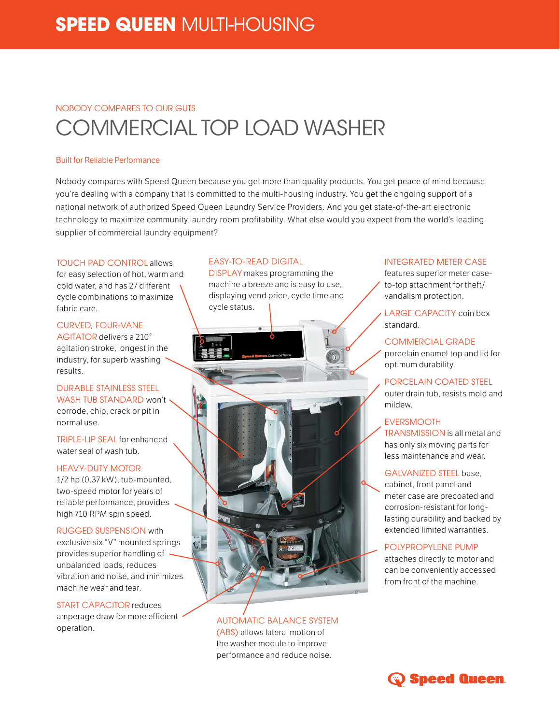# NOBODY COMPARES TO OUR GUTS COMMERCIAL TOP LOAD WASHER

#### Built for Reliable Performance

Nobody compares with Speed Queen because you get more than quality products. You get peace of mind because you're dealing with a company that is committed to the multi-housing industry. You get the ongoing support of a national network of authorized Speed Queen Laundry Service Providers. And you get state-of-the-art electronic technology to maximize community laundry room profitability. What else would you expect from the world's leading supplier of commercial laundry equipment?

TOUCH PAD CONTROL allows for easy selection of hot, warm and cold water, and has 27 different cycle combinations to maximize fabric care.

CURVED, FOUR-VANE AGITATOR delivers a 210° agitation stroke, longest in the industry, for superb washing results.

DURABLE STAINLESS STEEL WASH TUB STANDARD won't corrode, chip, crack or pit in normal use.

TRIPLE-LIP SEAL for enhanced water seal of wash tub.

## HEAVY-DUTY MOTOR

1/2 hp (0.37 kW), tub-mounted, two-speed motor for years of reliable performance, provides high 710 RPM spin speed.

RUGGED SUSPENSION with exclusive six "V" mounted springs provides superior handling of unbalanced loads, reduces vibration and noise, and minimizes machine wear and tear.

START CAPACITOR reduces amperage draw for more efficient operation.

#### EASY-TO-READ DIGITAL

DISPLAY makes programming the machine a breeze and is easy to use, displaying vend price, cycle time and cycle status.



AUTOMATIC BALANCE SYSTEM (ABS) allows lateral motion of the washer module to improve performance and reduce noise.

## INTEGRATED METER CASE

features superior meter caseto-top attachment for theft/ vandalism protection.

LARGE CAPACITY coin box standard.

COMMERCIAL GRADE porcelain enamel top and lid for optimum durability.

PORCELAIN COATED STEEL outer drain tub, resists mold and mildew.

## EVERSMOOTH

TRANSMISSION is all metal and has only six moving parts for less maintenance and wear.

## GALVANIZED STEEL base,

cabinet, front panel and meter case are precoated and corrosion-resistant for longlasting durability and backed by extended limited warranties.

## POLYPROPYLENE PUMP

attaches directly to motor and can be conveniently accessed from front of the machine.